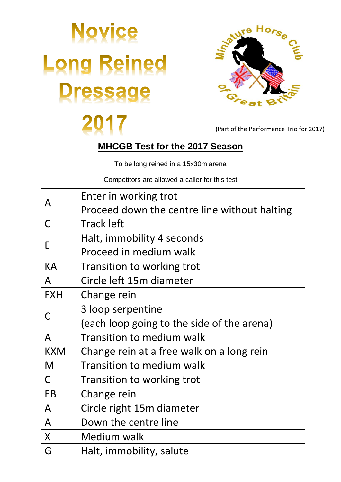## **Novice Long Reined Tressage**



(Part of the Performance Trio for 2017)

## **MHCGB Test for the 2017 Season**

To be long reined in a 15x30m arena

Competitors are allowed a caller for this test

| A            | Enter in working trot                        |
|--------------|----------------------------------------------|
|              | Proceed down the centre line without halting |
| C            | <b>Track left</b>                            |
| E            | Halt, immobility 4 seconds                   |
|              | Proceed in medium walk                       |
| KA           | Transition to working trot                   |
| $\mathsf{A}$ | Circle left 15m diameter                     |
| <b>FXH</b>   | Change rein                                  |
| C            | 3 loop serpentine                            |
|              | (each loop going to the side of the arena)   |
| $\mathsf{A}$ | <b>Transition to medium walk</b>             |
| <b>KXM</b>   | Change rein at a free walk on a long rein    |
| M            | <b>Transition to medium walk</b>             |
| $\mathsf{C}$ | Transition to working trot                   |
| <b>EB</b>    | Change rein                                  |
| $\mathsf{A}$ | Circle right 15m diameter                    |
| $\mathsf{A}$ | Down the centre line                         |
| X            | Medium walk                                  |
| G            | Halt, immobility, salute                     |